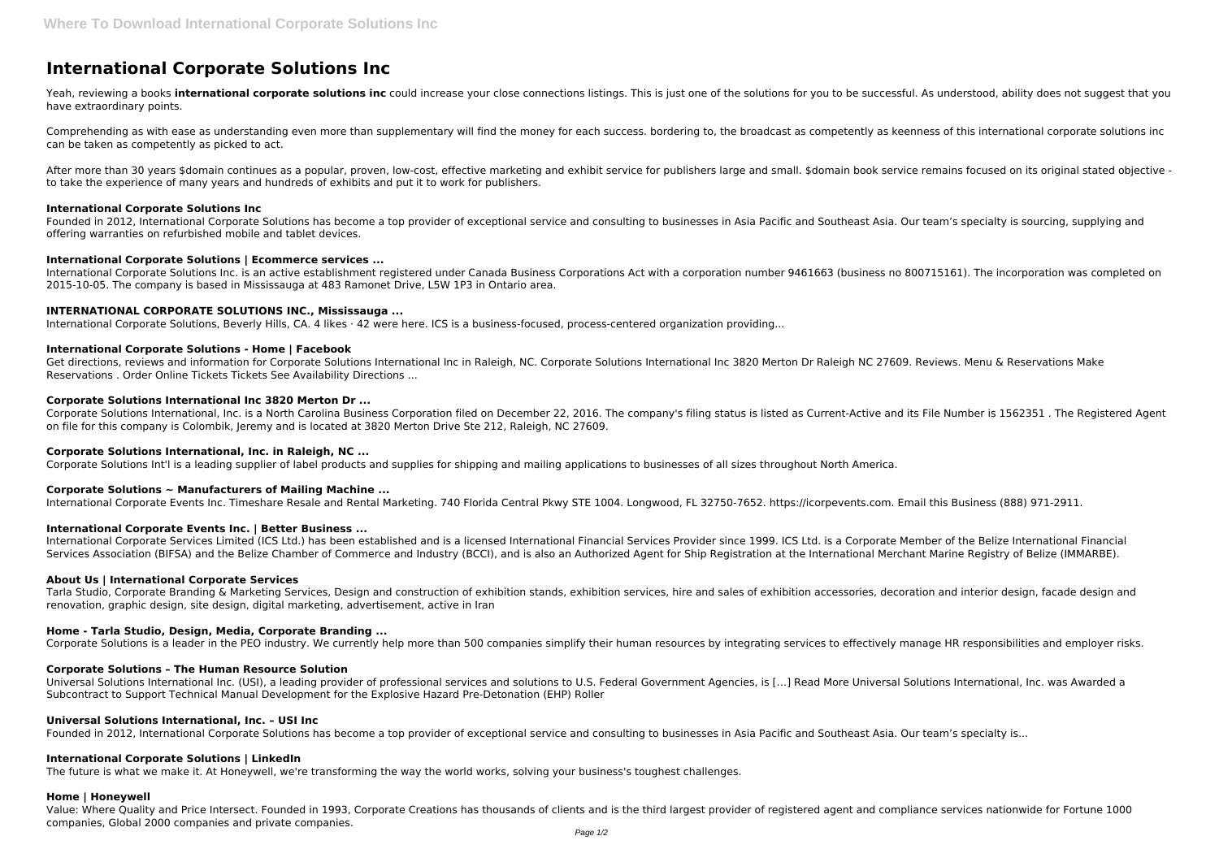# **International Corporate Solutions Inc**

Yeah, reviewing a books international corporate solutions inc could increase your close connections listings. This is just one of the solutions for you to be successful. As understood, ability does not suggest that you have extraordinary points.

After more than 30 years \$domain continues as a popular, proven, low-cost, effective marketing and exhibit service for publishers large and small. \$domain book service remains focused on its original stated objective to take the experience of many years and hundreds of exhibits and put it to work for publishers.

Comprehending as with ease as understanding even more than supplementary will find the money for each success. bordering to, the broadcast as competently as keenness of this international corporate solutions inc can be taken as competently as picked to act.

#### **International Corporate Solutions Inc**

Founded in 2012, International Corporate Solutions has become a top provider of exceptional service and consulting to businesses in Asia Pacific and Southeast Asia. Our team's specialty is sourcing, supplying and offering warranties on refurbished mobile and tablet devices.

## **International Corporate Solutions | Ecommerce services ...**

International Corporate Solutions Inc. is an active establishment registered under Canada Business Corporations Act with a corporation number 9461663 (business no 800715161). The incorporation was completed on 2015-10-05. The company is based in Mississauga at 483 Ramonet Drive, L5W 1P3 in Ontario area.

# **INTERNATIONAL CORPORATE SOLUTIONS INC., Mississauga ...**

International Corporate Solutions, Beverly Hills, CA. 4 likes · 42 were here. ICS is a business-focused, process-centered organization providing...

#### **International Corporate Solutions - Home | Facebook**

Get directions, reviews and information for Corporate Solutions International Inc in Raleigh, NC. Corporate Solutions International Inc 3820 Merton Dr Raleigh NC 27609. Reviews. Menu & Reservations Make Reservations . Order Online Tickets Tickets See Availability Directions ...

#### **Corporate Solutions International Inc 3820 Merton Dr ...**

Corporate Solutions International, Inc. is a North Carolina Business Corporation filed on December 22, 2016. The company's filing status is listed as Current-Active and its File Number is 1562351 . The Registered Agent on file for this company is Colombik, Jeremy and is located at 3820 Merton Drive Ste 212, Raleigh, NC 27609.

## **Corporate Solutions International, Inc. in Raleigh, NC ...**

Corporate Solutions Int'l is a leading supplier of label products and supplies for shipping and mailing applications to businesses of all sizes throughout North America.

## **Corporate Solutions ~ Manufacturers of Mailing Machine ...**

International Corporate Events Inc. Timeshare Resale and Rental Marketing. 740 Florida Central Pkwy STE 1004. Longwood, FL 32750-7652. https://icorpevents.com. Email this Business (888) 971-2911.

## **International Corporate Events Inc. | Better Business ...**

International Corporate Services Limited (ICS Ltd.) has been established and is a licensed International Financial Services Provider since 1999. ICS Ltd. is a Corporate Member of the Belize International Financial Services Association (BIFSA) and the Belize Chamber of Commerce and Industry (BCCI), and is also an Authorized Agent for Ship Registration at the International Merchant Marine Registry of Belize (IMMARBE).

#### **About Us | International Corporate Services**

Tarla Studio, Corporate Branding & Marketing Services, Design and construction of exhibition stands, exhibition services, hire and sales of exhibition accessories, decoration and interior design, facade design and renovation, graphic design, site design, digital marketing, advertisement, active in Iran

## **Home - Tarla Studio, Design, Media, Corporate Branding ...**

Corporate Solutions is a leader in the PEO industry. We currently help more than 500 companies simplify their human resources by integrating services to effectively manage HR responsibilities and employer risks.

## **Corporate Solutions – The Human Resource Solution**

Universal Solutions International Inc. (USI), a leading provider of professional services and solutions to U.S. Federal Government Agencies, is […] Read More Universal Solutions International, Inc. was Awarded a Subcontract to Support Technical Manual Development for the Explosive Hazard Pre-Detonation (EHP) Roller

#### **Universal Solutions International, Inc. – USI Inc**

Founded in 2012, International Corporate Solutions has become a top provider of exceptional service and consulting to businesses in Asia Pacific and Southeast Asia. Our team's specialty is...

#### **International Corporate Solutions | LinkedIn**

The future is what we make it. At Honeywell, we're transforming the way the world works, solving your business's toughest challenges.

#### **Home | Honeywell**

Value: Where Quality and Price Intersect. Founded in 1993, Corporate Creations has thousands of clients and is the third largest provider of registered agent and compliance services nationwide for Fortune 1000 companies, Global 2000 companies and private companies.